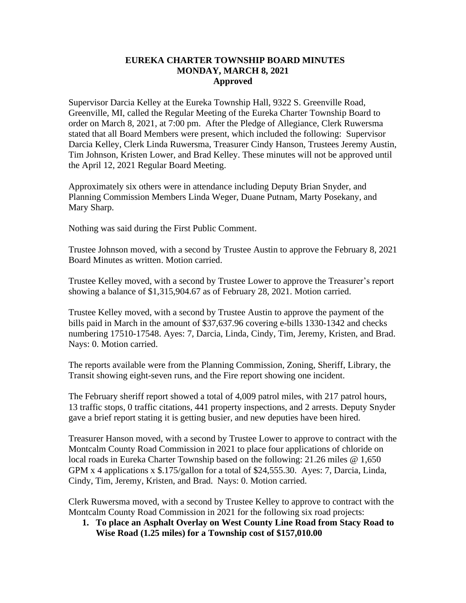## **EUREKA CHARTER TOWNSHIP BOARD MINUTES MONDAY, MARCH 8, 2021 Approved**

Supervisor Darcia Kelley at the Eureka Township Hall, 9322 S. Greenville Road, Greenville, MI, called the Regular Meeting of the Eureka Charter Township Board to order on March 8, 2021, at 7:00 pm. After the Pledge of Allegiance, Clerk Ruwersma stated that all Board Members were present, which included the following: Supervisor Darcia Kelley, Clerk Linda Ruwersma, Treasurer Cindy Hanson, Trustees Jeremy Austin, Tim Johnson, Kristen Lower, and Brad Kelley. These minutes will not be approved until the April 12, 2021 Regular Board Meeting.

Approximately six others were in attendance including Deputy Brian Snyder, and Planning Commission Members Linda Weger, Duane Putnam, Marty Posekany, and Mary Sharp.

Nothing was said during the First Public Comment.

Trustee Johnson moved, with a second by Trustee Austin to approve the February 8, 2021 Board Minutes as written. Motion carried.

Trustee Kelley moved, with a second by Trustee Lower to approve the Treasurer's report showing a balance of \$1,315,904.67 as of February 28, 2021. Motion carried.

Trustee Kelley moved, with a second by Trustee Austin to approve the payment of the bills paid in March in the amount of \$37,637.96 covering e-bills 1330-1342 and checks numbering 17510-17548. Ayes: 7, Darcia, Linda, Cindy, Tim, Jeremy, Kristen, and Brad. Nays: 0. Motion carried.

The reports available were from the Planning Commission, Zoning, Sheriff, Library, the Transit showing eight-seven runs, and the Fire report showing one incident.

The February sheriff report showed a total of 4,009 patrol miles, with 217 patrol hours, 13 traffic stops, 0 traffic citations, 441 property inspections, and 2 arrests. Deputy Snyder gave a brief report stating it is getting busier, and new deputies have been hired.

Treasurer Hanson moved, with a second by Trustee Lower to approve to contract with the Montcalm County Road Commission in 2021 to place four applications of chloride on local roads in Eureka Charter Township based on the following: 21.26 miles @ 1,650 GPM x 4 applications x \$.175/gallon for a total of \$24,555.30. Ayes: 7, Darcia, Linda, Cindy, Tim, Jeremy, Kristen, and Brad. Nays: 0. Motion carried.

Clerk Ruwersma moved, with a second by Trustee Kelley to approve to contract with the Montcalm County Road Commission in 2021 for the following six road projects:

**1. To place an Asphalt Overlay on West County Line Road from Stacy Road to Wise Road (1.25 miles) for a Township cost of \$157,010.00**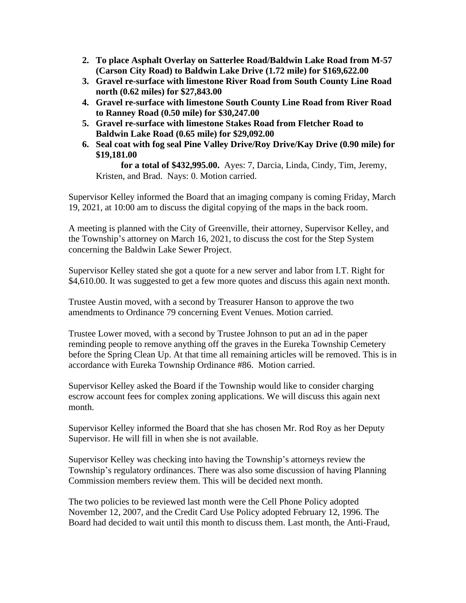- **2. To place Asphalt Overlay on Satterlee Road/Baldwin Lake Road from M-57 (Carson City Road) to Baldwin Lake Drive (1.72 mile) for \$169,622.00**
- **3. Gravel re-surface with limestone River Road from South County Line Road north (0.62 miles) for \$27,843.00**
- **4. Gravel re-surface with limestone South County Line Road from River Road to Ranney Road (0.50 mile) for \$30,247.00**
- **5. Gravel re-surface with limestone Stakes Road from Fletcher Road to Baldwin Lake Road (0.65 mile) for \$29,092.00**
- **6. Seal coat with fog seal Pine Valley Drive/Roy Drive/Kay Drive (0.90 mile) for \$19,181.00**

 **for a total of \$432,995.00.** Ayes: 7, Darcia, Linda, Cindy, Tim, Jeremy, Kristen, and Brad. Nays: 0. Motion carried.

Supervisor Kelley informed the Board that an imaging company is coming Friday, March 19, 2021, at 10:00 am to discuss the digital copying of the maps in the back room.

A meeting is planned with the City of Greenville, their attorney, Supervisor Kelley, and the Township's attorney on March 16, 2021, to discuss the cost for the Step System concerning the Baldwin Lake Sewer Project.

Supervisor Kelley stated she got a quote for a new server and labor from I.T. Right for \$4,610.00. It was suggested to get a few more quotes and discuss this again next month.

Trustee Austin moved, with a second by Treasurer Hanson to approve the two amendments to Ordinance 79 concerning Event Venues. Motion carried.

Trustee Lower moved, with a second by Trustee Johnson to put an ad in the paper reminding people to remove anything off the graves in the Eureka Township Cemetery before the Spring Clean Up. At that time all remaining articles will be removed. This is in accordance with Eureka Township Ordinance #86. Motion carried.

Supervisor Kelley asked the Board if the Township would like to consider charging escrow account fees for complex zoning applications. We will discuss this again next month.

Supervisor Kelley informed the Board that she has chosen Mr. Rod Roy as her Deputy Supervisor. He will fill in when she is not available.

Supervisor Kelley was checking into having the Township's attorneys review the Township's regulatory ordinances. There was also some discussion of having Planning Commission members review them. This will be decided next month.

The two policies to be reviewed last month were the Cell Phone Policy adopted November 12, 2007, and the Credit Card Use Policy adopted February 12, 1996. The Board had decided to wait until this month to discuss them. Last month, the Anti-Fraud,